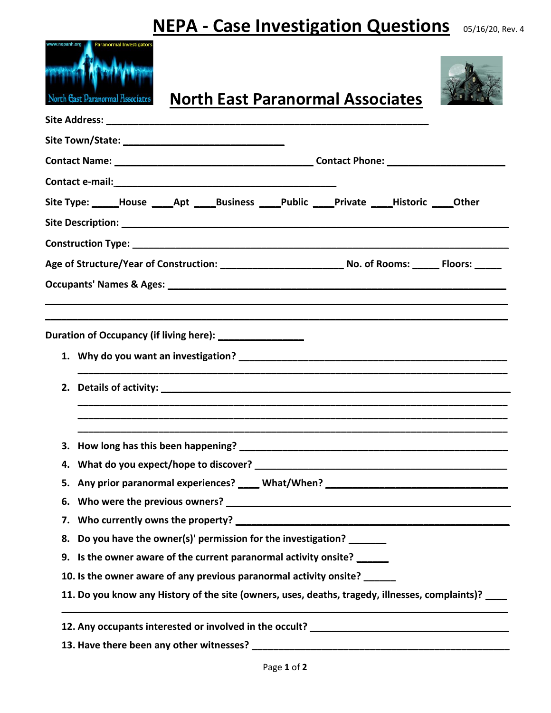## **NEPA - Case Investigation Questions** 05/16/20, Rev. 4

| North Gast Daranormal Associates<br><b>North East Paranormal Associates</b>                     |  |
|-------------------------------------------------------------------------------------------------|--|
|                                                                                                 |  |
|                                                                                                 |  |
|                                                                                                 |  |
|                                                                                                 |  |
| Site Type: _____House _____Apt ______Business _____Public _____Private Historic Other           |  |
|                                                                                                 |  |
|                                                                                                 |  |
|                                                                                                 |  |
|                                                                                                 |  |
|                                                                                                 |  |
|                                                                                                 |  |
|                                                                                                 |  |
|                                                                                                 |  |
|                                                                                                 |  |
|                                                                                                 |  |
|                                                                                                 |  |
|                                                                                                 |  |
| 5. Any prior paranormal experiences? ____ What/When? ___________________________                |  |
| 6.                                                                                              |  |
|                                                                                                 |  |
| Do you have the owner(s)' permission for the investigation?<br>8.                               |  |
| 9. Is the owner aware of the current paranormal activity onsite?                                |  |
| 10. Is the owner aware of any previous paranormal activity onsite?                              |  |
| 11. Do you know any History of the site (owners, uses, deaths, tragedy, illnesses, complaints)? |  |
| 12. Any occupants interested or involved in the occult? _________________________               |  |
| 13. Have there been any other witnesses?                                                        |  |